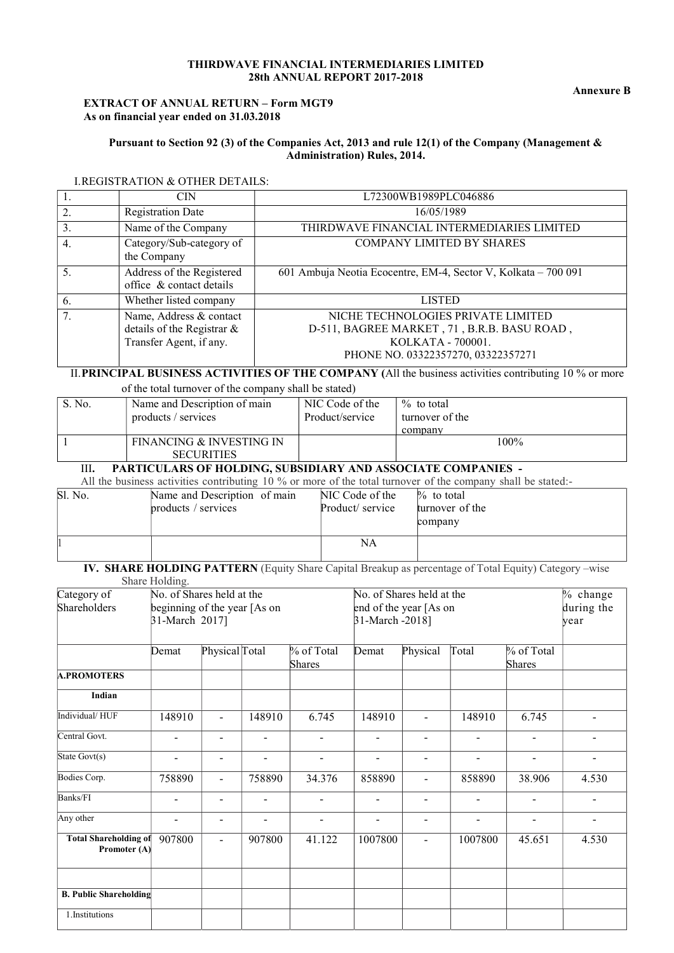### THIRDWAVE FINANCIAL INTERMEDIARIES LIMITED 28th ANNUAL REPORT 2017-2018

## EXTRACT OF ANNUAL RETURN – Form MGT9 As on financial year ended on 31.03.2018

## Pursuant to Section 92 (3) of the Companies Act, 2013 and rule 12(1) of the Company (Management & Administration) Rules, 2014.

### I.REGISTRATION & OTHER DETAILS:

| 1. | CIN                                                                              | L72300WB1989PLC046886                                                                                                                        |
|----|----------------------------------------------------------------------------------|----------------------------------------------------------------------------------------------------------------------------------------------|
| 2. | <b>Registration Date</b>                                                         | 16/05/1989                                                                                                                                   |
| 3. | Name of the Company                                                              | THIRDWAVE FINANCIAL INTERMEDIARIES LIMITED                                                                                                   |
| 4. | Category/Sub-category of<br>the Company                                          | COMPANY LIMITED BY SHARES                                                                                                                    |
| 5. | Address of the Registered<br>office & contact details                            | 601 Ambuja Neotia Ecocentre, EM-4, Sector V, Kolkata - 700 091                                                                               |
| 6. | Whether listed company                                                           | <b>LISTED</b>                                                                                                                                |
| 7. | Name, Address & contact<br>details of the Registrar &<br>Transfer Agent, if any. | NICHE TECHNOLOGIES PRIVATE LIMITED<br>D-511, BAGREE MARKET, 71, B.R.B. BASU ROAD,<br>KOLKATA - 700001.<br>PHONE NO. 03322357270, 03322357271 |

II.PRINCIPAL BUSINESS ACTIVITIES OF THE COMPANY (All the business activities contributing 10 % or more

of the total turnover of the company shall be stated)

| S. No. | Name and Description of main<br>products / services | NIC Code of the<br>Product/service | $\%$ to total<br>turnover of the<br>company |
|--------|-----------------------------------------------------|------------------------------------|---------------------------------------------|
|        | FINANCING & INVESTING IN<br><b>SECURITIES</b>       |                                    | 100%                                        |

## III. PARTICULARS OF HOLDING, SUBSIDIARY AND ASSOCIATE COMPANIES -

All the business activities contributing 10 % or more of the total turnover of the company shall be stated:-

| Sl. No. | Name and Description of main | NIC Code of the  | $\%$ to total   |
|---------|------------------------------|------------------|-----------------|
|         | products / services          | Product/ service | turnover of the |
|         |                              |                  | company         |
|         |                              | NA               |                 |
|         |                              |                  |                 |

 IV. SHARE HOLDING PATTERN (Equity Share Capital Breakup as percentage of Total Equity) Category –wise Share Holding.

| Category of<br>No. of Shares held at the     |                              |                          |                          |                          | No. of Shares held at the |                          | % change       |                |                          |
|----------------------------------------------|------------------------------|--------------------------|--------------------------|--------------------------|---------------------------|--------------------------|----------------|----------------|--------------------------|
| Shareholders                                 | beginning of the year [As on |                          |                          |                          | end of the year [As on    |                          | during the     |                |                          |
|                                              | 31-March 2017]               |                          |                          |                          | 31-March -2018]           |                          |                |                | year                     |
|                                              |                              |                          |                          |                          |                           |                          |                |                |                          |
|                                              | Demat                        | Physical Total           |                          | % of Total               | Demat                     | Physical                 | Total          | $%$ of Total   |                          |
|                                              |                              |                          |                          | Shares                   |                           |                          |                | <b>Shares</b>  |                          |
| <b>A.PROMOTERS</b>                           |                              |                          |                          |                          |                           |                          |                |                |                          |
| <b>Indian</b>                                |                              |                          |                          |                          |                           |                          |                |                |                          |
| Individual/HUF                               | 148910                       | $\blacksquare$           | 148910                   | 6.745                    | 148910                    | $\blacksquare$           | 148910         | 6.745          |                          |
| Central Govt.                                |                              | $\overline{\phantom{0}}$ | $\overline{\phantom{a}}$ | $\overline{\phantom{a}}$ | $\overline{\phantom{a}}$  | $\overline{\phantom{0}}$ | Ξ.             | $\overline{a}$ | $\overline{\phantom{a}}$ |
| State Govt(s)                                |                              | $\blacksquare$           | ÷                        | $\sim$                   |                           | $\overline{a}$           | $\overline{a}$ | $\overline{a}$ | $\overline{a}$           |
| Bodies Corp.                                 | 758890                       | $\overline{\phantom{a}}$ | 758890                   | 34.376                   | 858890                    | $\overline{\phantom{a}}$ | 858890         | 38.906         | 4.530                    |
| Banks/FI                                     | $\overline{a}$               | $\blacksquare$           | $\blacksquare$           | $\blacksquare$           | $\overline{\phantom{a}}$  | $\blacksquare$           | $\blacksquare$ | $\overline{a}$ | $\blacksquare$           |
| Any other                                    |                              | ۰                        | $\overline{\phantom{0}}$ | $\overline{\phantom{a}}$ | $\blacksquare$            | $\blacksquare$           | ÷              |                | $\overline{\phantom{a}}$ |
| <b>Total Shareholding of</b><br>Promoter (A) | 907800                       | $\overline{a}$           | 907800                   | 41.122                   | 1007800                   | $\blacksquare$           | 1007800        | 45.651         | 4.530                    |
|                                              |                              |                          |                          |                          |                           |                          |                |                |                          |
| <b>B. Public Shareholding</b>                |                              |                          |                          |                          |                           |                          |                |                |                          |
| 1.Institutions                               |                              |                          |                          |                          |                           |                          |                |                |                          |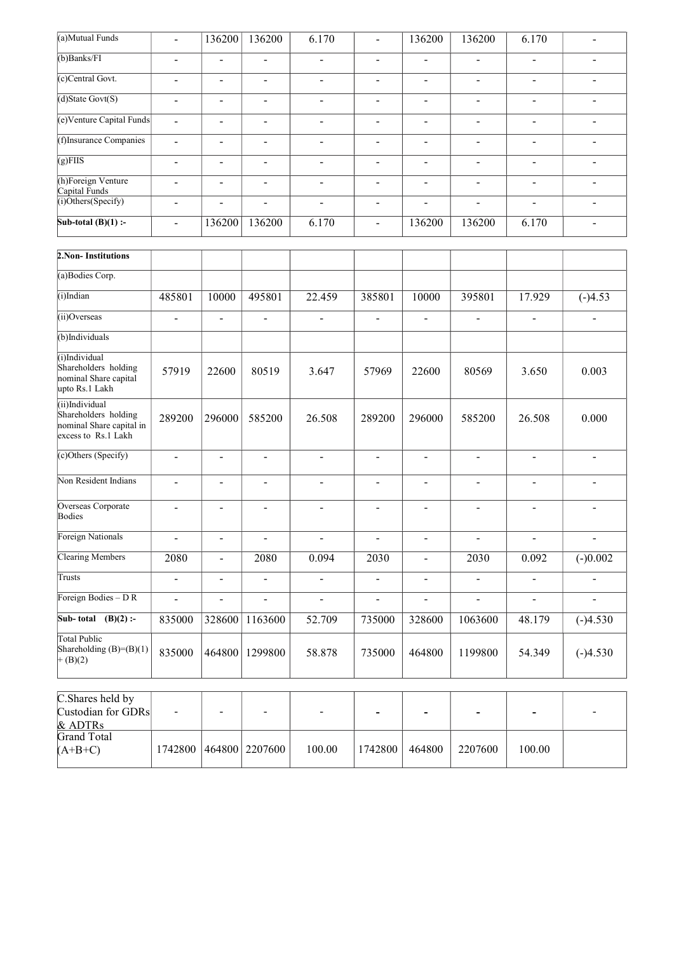| (a)Mutual Funds                                                                                | $\blacksquare$               | 136200                       | 136200                   | 6.170                    | $\overline{a}$           | 136200                   | 136200                       | 6.170                    |                              |
|------------------------------------------------------------------------------------------------|------------------------------|------------------------------|--------------------------|--------------------------|--------------------------|--------------------------|------------------------------|--------------------------|------------------------------|
| $(b)$ Banks/FI                                                                                 | -                            | $\qquad \qquad \blacksquare$ | $\overline{\phantom{a}}$ | $\overline{\phantom{a}}$ | $\overline{\phantom{a}}$ | $\overline{\phantom{a}}$ | $\qquad \qquad \blacksquare$ | $\overline{\phantom{a}}$ | $\qquad \qquad \blacksquare$ |
| (c)Central Govt.                                                                               | -                            | $\overline{\phantom{a}}$     | $\blacksquare$           | $\overline{\phantom{a}}$ | $\overline{\phantom{a}}$ | $\overline{\phantom{a}}$ | $\blacksquare$               | $\overline{\phantom{a}}$ | $\overline{\phantom{a}}$     |
| $(d)$ State Govt $(S)$                                                                         | $\blacksquare$               | $\blacksquare$               | $\overline{a}$           | $\blacksquare$           | $\overline{\phantom{a}}$ | $\overline{\phantom{a}}$ | -                            | $\blacksquare$           | ÷                            |
| (e)Venture Capital Funds                                                                       | $\blacksquare$               | $\overline{\phantom{a}}$     | $\blacksquare$           | $\overline{\phantom{a}}$ | $\overline{\phantom{a}}$ | $\overline{\phantom{0}}$ | ۰                            | $\blacksquare$           | $\blacksquare$               |
| (f)Insurance Companies                                                                         | $\overline{a}$               | $\blacksquare$               | $\overline{\phantom{0}}$ | $\blacksquare$           | $\blacksquare$           | $\blacksquare$           | $\overline{a}$               | $\blacksquare$           | $\blacksquare$               |
| $\sqrt{\text{g/FIIS}}$                                                                         | $\qquad \qquad \blacksquare$ | $\qquad \qquad \blacksquare$ | $\overline{\phantom{a}}$ | $\overline{\phantom{a}}$ | $\overline{\phantom{a}}$ | $\overline{\phantom{a}}$ | $\overline{\phantom{0}}$     | $\overline{\phantom{a}}$ | $\overline{\phantom{a}}$     |
| (h)Foreign Venture<br>Capital Funds                                                            | $\overline{a}$               | $\blacksquare$               | $\overline{a}$           | $\blacksquare$           | $\blacksquare$           | $\blacksquare$           | $\overline{a}$               | $\blacksquare$           | $\blacksquare$               |
| (i)Others(Specify)                                                                             | -                            |                              | $\blacksquare$           | $\overline{\phantom{a}}$ | $\overline{\phantom{0}}$ | $\blacksquare$           | $\blacksquare$               | $\frac{1}{2}$            | $\blacksquare$               |
| Sub-total $(B)(1)$ :-                                                                          |                              | 136200                       | 136200                   | 6.170                    | $\blacksquare$           | 136200                   | 136200                       | 6.170                    | $\overline{\phantom{0}}$     |
|                                                                                                |                              |                              |                          |                          |                          |                          |                              |                          |                              |
| 2. Non-Institutions                                                                            |                              |                              |                          |                          |                          |                          |                              |                          |                              |
| (a)Bodies Corp.                                                                                |                              |                              |                          |                          |                          |                          |                              |                          |                              |
| (i)Indian                                                                                      | 485801                       | 10000                        | 495801                   | 22.459                   | 385801                   | 10000                    | 395801                       | 17.929                   | $(-)4.53$                    |
| (ii)Overseas                                                                                   | $\overline{\phantom{0}}$     | $\blacksquare$               | $\overline{a}$           | $\blacksquare$           | $\blacksquare$           | ÷                        | $\overline{a}$               | $\blacksquare$           | $\blacksquare$               |
| (b)Individuals                                                                                 |                              |                              |                          |                          |                          |                          |                              |                          |                              |
| (i)Individual<br>Shareholders holding<br>nominal Share capital<br>$\frac{1}{2}$ into Rs 1 Lakh | 57919                        | 22600                        | 80519                    | 3.647                    | 57969                    | 22600                    | 80569                        | 3.650                    | 0.003                        |

| (ii)Overseas                                                                              | $\blacksquare$           | $\overline{\phantom{a}}$ | $\overline{\phantom{a}}$ | -                        | $\overline{\phantom{a}}$ | $\overline{\phantom{a}}$ | $\overline{\phantom{0}}$ | $\overline{\phantom{a}}$ | $\overline{\phantom{a}}$ |
|-------------------------------------------------------------------------------------------|--------------------------|--------------------------|--------------------------|--------------------------|--------------------------|--------------------------|--------------------------|--------------------------|--------------------------|
| (b)Individuals                                                                            |                          |                          |                          |                          |                          |                          |                          |                          |                          |
| (i)Individual<br>Shareholders holding<br>nominal Share capital<br>upto Rs.1 Lakh          | 57919                    | 22600                    | 80519                    | 3.647                    | 57969                    | 22600                    | 80569                    | 3.650                    | 0.003                    |
| (ii)Individual<br>Shareholders holding<br>nominal Share capital in<br>excess to Rs.1 Lakh | 289200                   | 296000                   | 585200                   | 26.508                   | 289200                   | 296000                   | 585200                   | 26.508                   | 0.000                    |
| (c)Others (Specify)                                                                       |                          | $\blacksquare$           | $\blacksquare$           | ٠                        | ٠                        |                          | $\overline{\phantom{0}}$ |                          | $\overline{\phantom{0}}$ |
| Non Resident Indians                                                                      | $\sim$                   | $\blacksquare$           | $\blacksquare$           | $\blacksquare$           | $\blacksquare$           | $\overline{\phantom{a}}$ | $\blacksquare$           | $\overline{\phantom{0}}$ | $\overline{\phantom{a}}$ |
| Overseas Corporate<br>Bodies                                                              |                          | $\overline{a}$           | $\overline{\phantom{a}}$ | $\overline{\phantom{0}}$ | $\blacksquare$           | $\overline{a}$           | $\overline{a}$           | $\blacksquare$           | $\overline{\phantom{0}}$ |
| Foreign Nationals                                                                         | $\overline{\phantom{a}}$ | $\blacksquare$           | $\overline{\phantom{a}}$ | -                        | $\overline{\phantom{a}}$ | $\overline{\phantom{a}}$ | $\overline{\phantom{a}}$ | $\overline{\phantom{a}}$ | $\overline{\phantom{a}}$ |
| <b>Clearing Members</b>                                                                   | 2080                     | $\blacksquare$           | 2080                     | 0.094                    | 2030                     | $\overline{\phantom{a}}$ | 2030                     | 0.092                    | $(-)0.002$               |
| Trusts                                                                                    | $\blacksquare$           | $\blacksquare$           | $\blacksquare$           | -                        | $\blacksquare$           | $\overline{\phantom{a}}$ | $\overline{\phantom{0}}$ | $\overline{\phantom{a}}$ | $\blacksquare$           |
| Foreign Bodies - DR                                                                       | $\overline{a}$           | $\overline{a}$           | $\overline{a}$           | $\blacksquare$           | $\blacksquare$           |                          | $\overline{a}$           |                          | $\overline{\phantom{0}}$ |
| Sub-total $(B)(2)$ :-                                                                     | 835000                   | 328600                   | 1163600                  | 52.709                   | 735000                   | 328600                   | 1063600                  | 48.179                   | $(-)4.530$               |
| Total Public<br>Shareholding (B)=(B)(1)<br>$+(B)(2)$                                      | 835000                   | 464800                   | 1299800                  | 58.878                   | 735000                   | 464800                   | 1199800                  | 54.349                   | $(-)4.530$               |

| C. Shares held by  |   |                            |                          |         |        |         |                          |   |
|--------------------|---|----------------------------|--------------------------|---------|--------|---------|--------------------------|---|
| Custodian for GDRs | - |                            | $\overline{\phantom{0}}$ |         |        |         | $\overline{\phantom{0}}$ | - |
| & ADTRs            |   |                            |                          |         |        |         |                          |   |
| Grand Total        |   |                            |                          |         |        |         |                          |   |
| $(A+B+C)$          |   | 1742800   464800   2207600 | 100.00                   | 1742800 | 464800 | 2207600 | 100.00                   |   |
|                    |   |                            |                          |         |        |         |                          |   |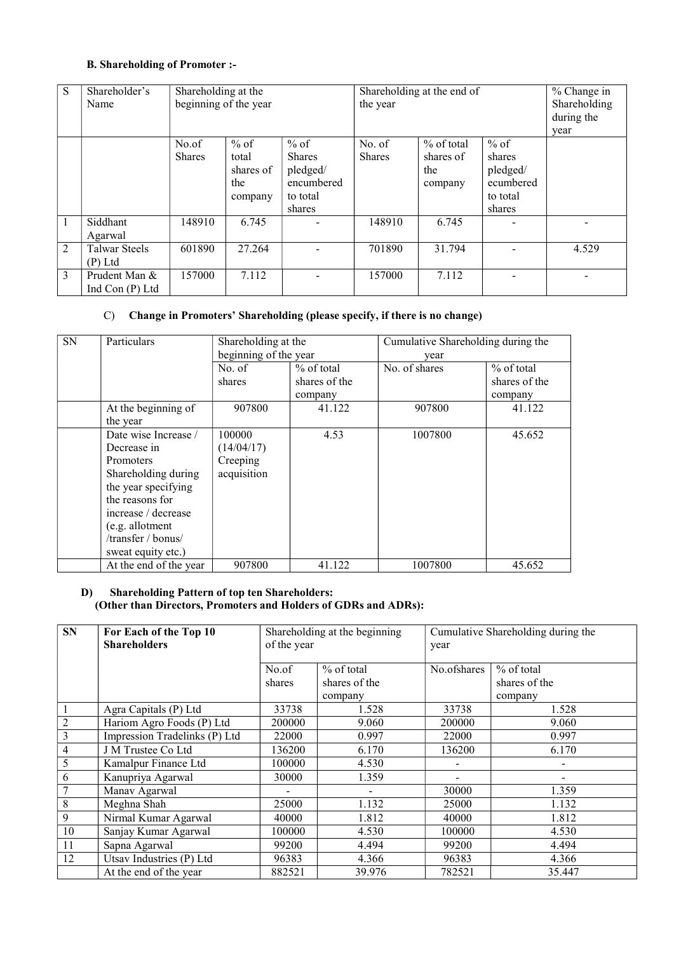# B. Shareholding of Promoter :-

| S            | Shareholder's<br>Name              | Shareholding at the<br>beginning of the year |                                                |                                                                         | Shareholding at the end of<br>the year | % Change in<br>Shareholding<br>during the<br>year |                                                                 |       |
|--------------|------------------------------------|----------------------------------------------|------------------------------------------------|-------------------------------------------------------------------------|----------------------------------------|---------------------------------------------------|-----------------------------------------------------------------|-------|
|              |                                    | No.of<br><b>Shares</b>                       | $%$ of<br>total<br>shares of<br>the<br>company | $%$ of<br><b>Shares</b><br>pledged/<br>encumbered<br>to total<br>shares | No. of<br><b>Shares</b>                | % of total<br>shares of<br>the<br>company         | $%$ of<br>shares<br>pledged/<br>ecumbered<br>to total<br>shares |       |
| $\mathbf{1}$ | Siddhant<br>Agarwal                | 148910                                       | 6.745                                          |                                                                         | 148910                                 | 6.745                                             |                                                                 |       |
| 2            | <b>Talwar Steels</b><br>$(P)$ Ltd  | 601890                                       | 27.264                                         |                                                                         | 701890                                 | 31.794                                            |                                                                 | 4.529 |
| 3            | Prudent Man &<br>Ind Con $(P)$ Ltd | 157000                                       | 7.112                                          |                                                                         | 157000                                 | 7.112                                             |                                                                 |       |

## C) Change in Promoters' Shareholding (please specify, if there is no change)

| <b>SN</b> | Particulars                                                                                                                                                                                                    | Shareholding at the<br>beginning of the year    |                                          | Cumulative Shareholding during the<br>year |                                          |  |
|-----------|----------------------------------------------------------------------------------------------------------------------------------------------------------------------------------------------------------------|-------------------------------------------------|------------------------------------------|--------------------------------------------|------------------------------------------|--|
|           |                                                                                                                                                                                                                | No. of<br>shares                                | $%$ of total<br>shares of the<br>company | No. of shares                              | $%$ of total<br>shares of the<br>company |  |
|           | At the beginning of<br>the year                                                                                                                                                                                | 907800                                          | 41.122                                   | 907800                                     | 41.122                                   |  |
|           | Date wise Increase /<br>Decrease in<br><b>Promoters</b><br>Shareholding during<br>the year specifying<br>the reasons for<br>increase / decrease<br>(e.g. allotment<br>/transfer / bonus/<br>sweat equity etc.) | 100000<br>(14/04/17)<br>Creeping<br>acquisition | 4.53                                     | 1007800                                    | 45.652                                   |  |
|           | At the end of the year                                                                                                                                                                                         | 907800                                          | 41.122                                   | 1007800                                    | 45.652                                   |  |

## D) Shareholding Pattern of top ten Shareholders: (Other than Directors, Promoters and Holders of GDRs and ADRs):

| <b>SN</b>      | For Each of the Top 10<br><b>Shareholders</b> | of the year | Shareholding at the beginning | Cumulative Shareholding during the<br>year |                          |  |  |
|----------------|-----------------------------------------------|-------------|-------------------------------|--------------------------------------------|--------------------------|--|--|
|                |                                               | No.of       | $%$ of total                  | No.ofshares                                | $%$ of total             |  |  |
|                |                                               | shares      | shares of the                 |                                            | shares of the            |  |  |
|                |                                               |             | company                       |                                            | company                  |  |  |
|                | Agra Capitals (P) Ltd                         | 33738       | 1.528                         | 33738                                      | 1.528                    |  |  |
| $\overline{2}$ | Hariom Agro Foods (P) Ltd                     | 200000      | 9.060                         | 200000                                     | 9.060                    |  |  |
| 3              | Impression Tradelinks (P) Ltd                 | 22000       | 0.997                         | 22000                                      | 0.997                    |  |  |
| $\overline{4}$ | J M Trustee Co Ltd                            | 136200      | 6.170                         | 136200                                     | 6.170                    |  |  |
| 5              | Kamalpur Finance Ltd                          | 100000      | 4.530                         |                                            | $\overline{\phantom{0}}$ |  |  |
| 6              | Kanupriya Agarwal                             | 30000       | 1.359                         |                                            | $\overline{\phantom{0}}$ |  |  |
| 7              | Manav Agarwal                                 |             |                               | 30000                                      | 1.359                    |  |  |
| 8              | Meghna Shah                                   | 25000       | 1.132                         | 25000                                      | 1.132                    |  |  |
| 9              | Nirmal Kumar Agarwal                          | 40000       | 1.812                         | 40000                                      | 1.812                    |  |  |
| 10             | Sanjay Kumar Agarwal                          | 100000      | 4.530                         | 100000                                     | 4.530                    |  |  |
| 11             | Sapna Agarwal                                 | 99200       | 4.494                         | 99200                                      | 4.494                    |  |  |
| 12             | Utsav Industries (P) Ltd                      | 96383       | 4.366                         | 96383                                      | 4.366                    |  |  |
|                | At the end of the year                        | 882521      | 39.976                        | 782521                                     | 35.447                   |  |  |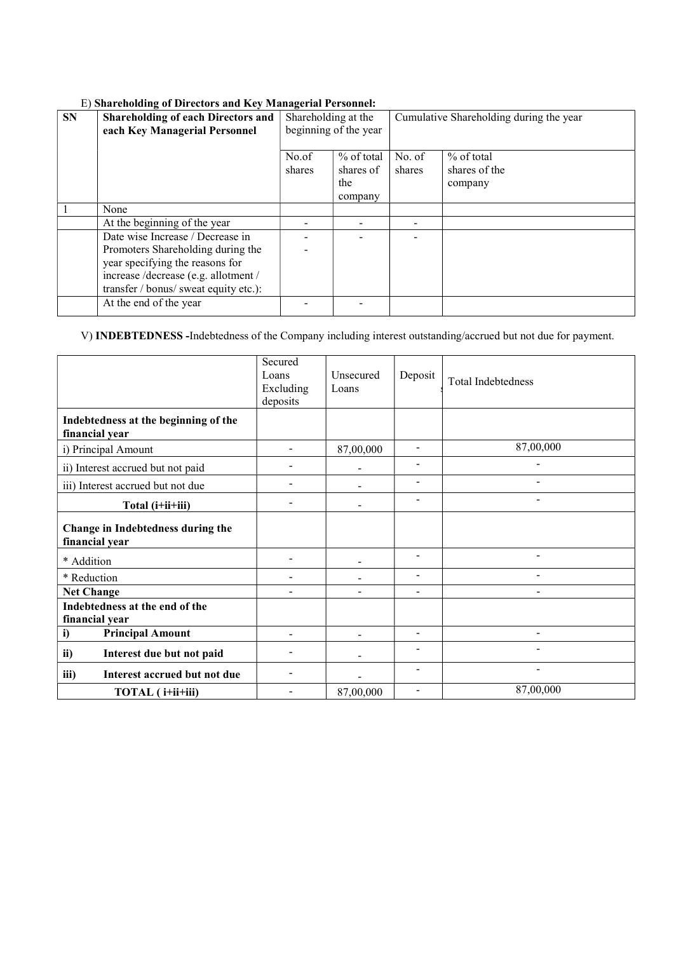| <b>SN</b> | <b>Shareholding of each Directors and</b><br>each Key Managerial Personnel | Shareholding at the<br>beginning of the year |            | Cumulative Shareholding during the year |               |  |
|-----------|----------------------------------------------------------------------------|----------------------------------------------|------------|-----------------------------------------|---------------|--|
|           |                                                                            | No.of                                        | % of total | No. of                                  | $%$ of total  |  |
|           |                                                                            | shares                                       | shares of  | shares                                  | shares of the |  |
|           |                                                                            |                                              | the        |                                         | company       |  |
|           |                                                                            |                                              | company    |                                         |               |  |
|           | None                                                                       |                                              |            |                                         |               |  |
|           | At the beginning of the year                                               |                                              |            |                                         |               |  |
|           | Date wise Increase / Decrease in                                           |                                              |            |                                         |               |  |
|           | Promoters Shareholding during the                                          |                                              |            |                                         |               |  |
|           | year specifying the reasons for                                            |                                              |            |                                         |               |  |
|           | increase /decrease (e.g. allotment /                                       |                                              |            |                                         |               |  |
|           | transfer / bonus/ sweat equity etc.):                                      |                                              |            |                                         |               |  |
|           | At the end of the year                                                     |                                              |            |                                         |               |  |

# E) Shareholding of Directors and Key Managerial Personnel:

V) INDEBTEDNESS -Indebtedness of the Company including interest outstanding/accrued but not due for payment.

|                                                        | Secured<br>Loans<br>Excluding<br>deposits | Unsecured<br>Loans | Deposit                      | <b>Total Indebtedness</b> |
|--------------------------------------------------------|-------------------------------------------|--------------------|------------------------------|---------------------------|
| Indebtedness at the beginning of the<br>financial year |                                           |                    |                              |                           |
| i) Principal Amount                                    |                                           | 87,00,000          | $\overline{\phantom{a}}$     | 87,00,000                 |
| ii) Interest accrued but not paid                      |                                           |                    |                              |                           |
| iii) Interest accrued but not due                      |                                           |                    | $\overline{\phantom{a}}$     |                           |
| Total (i+ii+iii)                                       | $\overline{\phantom{0}}$                  |                    | $\qquad \qquad \blacksquare$ | -                         |
| Change in Indebtedness during the<br>financial year    |                                           |                    |                              |                           |
| * Addition                                             |                                           |                    |                              |                           |
| * Reduction                                            |                                           |                    | $\qquad \qquad \blacksquare$ |                           |
| <b>Net Change</b>                                      |                                           |                    | $\overline{\phantom{a}}$     | -                         |
| Indebtedness at the end of the<br>financial year       |                                           |                    |                              |                           |
| <b>Principal Amount</b><br>i)                          | ۰                                         |                    |                              |                           |
| ii)<br>Interest due but not paid                       |                                           |                    |                              |                           |
| iii)<br>Interest accrued but not due                   |                                           |                    |                              | $\blacksquare$            |
| TOTAL (i+ii+iii)                                       |                                           | 87,00,000          |                              | 87,00,000                 |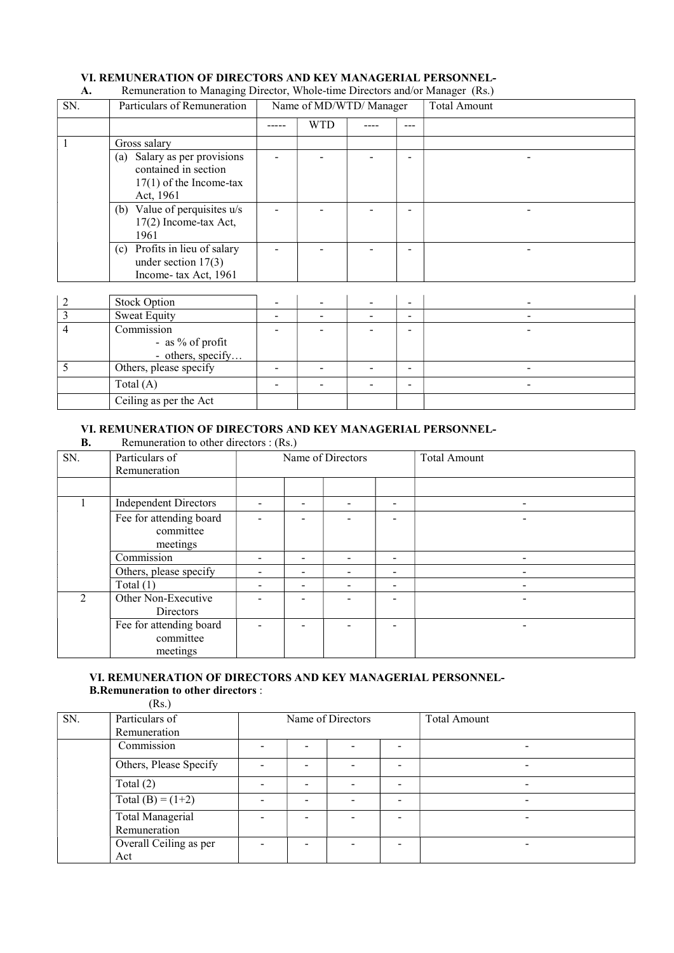## VI. REMUNERATION OF DIRECTORS AND KEY MANAGERIAL PERSONNEL-

#### SN. Particulars of Remuneration Name of MD/WTD/ Manager Total Amount ----- WTD ---- --- 1 Gross salary (a) Salary as per provisions contained in section 17(1) of the Income-tax Act, 1961 - | - | - |-| - | - | -(b) Value of perquisites u/s  $17(2)$  Income-tax Act, 1961 - | - | - |-| - | - | -(c) Profits in lieu of salary under section 17(3) Income- tax Act, 1961 - | - | - |- | - | - | 2 Stock Option - - - - - 3 Sweat Equity - - - - - 4 Commission - as % of profit - others, specify. - | - | - |- | - | - | 5 Others, please specify - - - - -  $\text{Total (A)}$  - - - - - - - - -

# A. Remuneration to Managing Director, Whole-time Directors and/or Manager (Rs.)

# VI. REMUNERATION OF DIRECTORS AND KEY MANAGERIAL PERSONNEL-<br>B. Remuneration to other directors : (Rs.)

Remuneration to other directors : (Rs.)

Ceiling as per the Act

| SN.            | Particulars of<br>Remuneration                   | Name of Directors |   |  |                          | <b>Total Amount</b> |
|----------------|--------------------------------------------------|-------------------|---|--|--------------------------|---------------------|
|                |                                                  |                   |   |  |                          |                     |
|                | <b>Independent Directors</b>                     |                   |   |  | -                        |                     |
|                | Fee for attending board<br>committee<br>meetings |                   |   |  | -                        |                     |
|                | Commission                                       |                   |   |  | -                        |                     |
|                | Others, please specify                           |                   | ۰ |  | -                        |                     |
|                | Total $(1)$                                      |                   | ۰ |  | -                        | -                   |
| $\mathfrak{D}$ | Other Non-Executive<br><b>Directors</b>          |                   |   |  | -                        |                     |
|                | Fee for attending board<br>committee<br>meetings |                   |   |  | $\overline{\phantom{0}}$ |                     |

#### VI. REMUNERATION OF DIRECTORS AND KEY MANAGERIAL PERSONNEL- B.Remuneration to other directors :

 $(Rs)$ 

| SN. | 1.11<br>Particulars of | Name of Directors        |   |  |                          | <b>Total Amount</b>      |
|-----|------------------------|--------------------------|---|--|--------------------------|--------------------------|
|     | Remuneration           |                          |   |  |                          |                          |
|     | Commission             | $\overline{\phantom{0}}$ |   |  |                          | $\overline{\phantom{0}}$ |
|     | Others, Please Specify |                          |   |  |                          |                          |
|     | Total $(2)$            |                          |   |  |                          |                          |
|     | Total (B) = $(1+2)$    | -                        | - |  | $\overline{\phantom{0}}$ | ۰                        |
|     | Total Managerial       |                          |   |  | ۰                        |                          |
|     | Remuneration           |                          |   |  |                          |                          |
|     | Overall Ceiling as per | $\overline{\phantom{a}}$ |   |  |                          |                          |
|     | Act                    |                          |   |  |                          |                          |